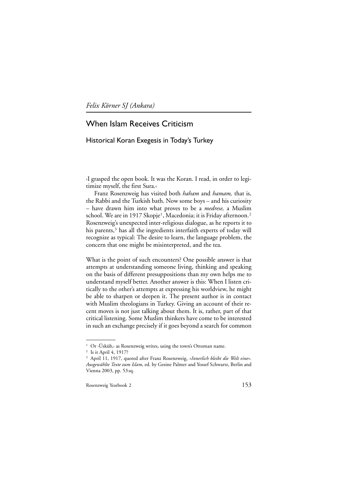*Felix Körner SJ (Ankara)*

# When Islam Receives Criticism

## Historical Koran Exegesis in Today's Turkey

›I grasped the open book. It was the Koran. I read, in order to legitimize myself, the first Sura.‹

Franz Rosenzweig has visited both *haham* and *hamam,* that is, the Rabbi and the Turkish bath. Now some boys – and his curiosity – have drawn him into what proves to be a *medrese,* a Muslim school. We are in 1917 Skopje<sup>1</sup>, Macedonia; it is Friday afternoon.<sup>2</sup> Rosenzweig's unexpected inter-religious dialogue, as he reports it to his parents, $3$  has all the ingredients interfaith experts of today will recognize as typical: The desire to learn, the language problem, the concern that one might be misinterpreted, and the tea.

What is the point of such encounters? One possible answer is that attempts at understanding someone living, thinking and speaking on the basis of different presuppositions than my own helps me to understand myself better. Another answer is this: When I listen critically to the other's attempts at expressing his worldview, he might be able to sharpen or deepen it. The present author is in contact with Muslim theologians in Turkey. Giving an account of their recent moves is not just talking about them. It is, rather, part of that critical listening. Some Muslim thinkers have come to be interested in such an exchange precisely if it goes beyond a search for common

<sup>&</sup>lt;sup>1</sup> Or > Üsküb,< as Rosenzweig writes, using the town's Ottoman name.

<sup>&</sup>lt;sup>2</sup> Is it April 4, 1917?

<sup>3</sup> April 11, 1917, quoted after Franz Rosenzweig, *»Innerlich bleibt die Welt eine«. Ausgewählte Texte zum Islam,* ed. by Gesine Palmer and Yossef Schwartz, Berlin and Vienna 2003, pp. 53 sq.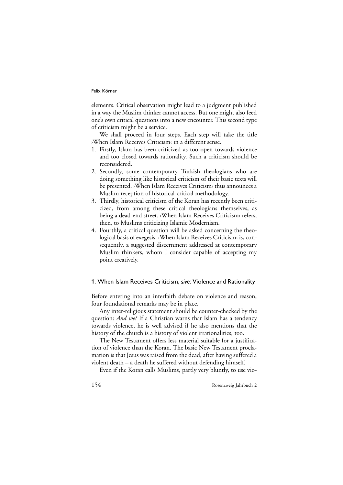elements. Critical observation might lead to a judgment published in a way the Muslim thinker cannot access. But one might also feed one's own critical questions into a new encounter. This second type of criticism might be a service.

We shall proceed in four steps. Each step will take the title ›When Islam Receives Criticism‹ in a different sense.

- 1. Firstly, Islam has been criticized as too open towards violence and too closed towards rationality. Such a criticism should be reconsidered.
- 2. Secondly, some contemporary Turkish theologians who are doing something like historical criticism of their basic texts will be presented. ›When Islam Receives Criticism‹ thus announces a Muslim reception of historical-critical methodology.
- 3. Thirdly, historical criticism of the Koran has recently been criticized, from among these critical theologians themselves, as being a dead-end street. ›When Islam Receives Criticism‹ refers, then, to Muslims criticizing Islamic Modernism.
- 4. Fourthly, a critical question will be asked concerning the theological basis of exegesis. ›When Islam Receives Criticism‹ is, consequently, a suggested discernment addressed at contemporary Muslim thinkers, whom I consider capable of accepting my point creatively.

## 1. When Islam Receives Criticism, *sive:* Violence and Rationality

Before entering into an interfaith debate on violence and reason, four foundational remarks may be in place.

Any inter-religious statement should be counter-checked by the question: *And we?* If a Christian warns that Islam has a tendency towards violence, he is well advised if he also mentions that the history of the church is a history of violent irrationalities, too.

The New Testament offers less material suitable for a justification of violence than the Koran. The basic New Testament proclamation is that Jesus was raised from the dead, after having suffered a violent death – a death he suffered without defending himself.

Even if the Koran calls Muslims, partly very bluntly, to use vio-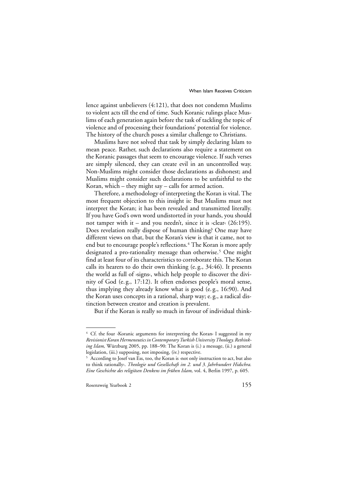lence against unbelievers (4:121), that does not condemn Muslims to violent acts till the end of time. Such Koranic rulings place Muslims of each generation again before the task of tackling the topic of violence and of processing their foundations' potential for violence. The history of the church poses a similar challenge to Christians.

Muslims have not solved that task by simply declaring Islam to mean peace. Rather, such declarations also require a statement on the Koranic passages that seem to encourage violence. If such verses are simply silenced, they can create evil in an uncontrolled way. Non-Muslims might consider those declarations as dishonest; and Muslims might consider such declarations to be unfaithful to the Koran, which – they might say – calls for armed action.

Therefore, a methodology of interpreting the Koran is vital. The most frequent objection to this insight is: But Muslims must not interpret the Koran; it has been revealed and transmitted literally. If you have God's own word undistorted in your hands, you should not tamper with it – and you needn't, since it is  $\triangle$ clear $\triangle$  (26:195). Does revelation really dispose of human thinking? One may have different views on that, but the Koran's view is that it came, not to end but to encourage people's reflections.<sup>4</sup> The Koran is more aptly designated a pro-rationality message than otherwise.<sup>5</sup> One might find at least four of its characteristics to corroborate this. The Koran calls its hearers to do their own thinking (e. g., 34:46). It presents the world as full of ›signs‹, which help people to discover the divinity of God (e. g., 17:12). It often endorses people's moral sense, thus implying they already know what is good (e. g., 16:90). And the Koran uses concepts in a rational, sharp way; e. g., a radical distinction between creator and creation is prevalent.

But if the Koran is really so much in favour of individual think-

<sup>4</sup> Cf. the four ›Koranic arguments for interpreting the Koran‹ I suggested in my *Revisionist Koran Hermeneutics in Contemporary Turkish University Theology. Rethinking Islam,* Würzburg 2005, pp. 188–90: The Koran is (i.) a message, (ii.) a general legislation, (iii.) supposing, not imposing, (iv.) respective.

<sup>5</sup> According to Josef van Ess, too, the Koran is ›not only instruction to act, but also to think rationally‹. *Theologie und Gesellschaft im 2. und 3. Jahrhundert Hidschra. Eine Geschichte des religiösen Denkens im frühen Islam,* vol. 4, Berlin 1997, p. 605.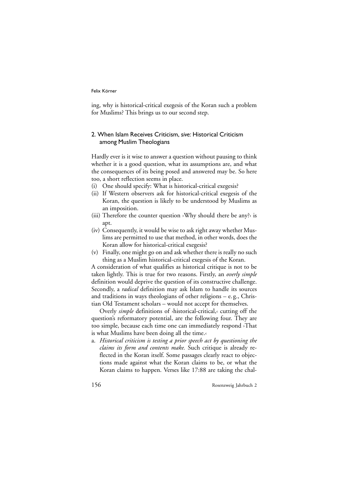ing, why is historical-critical exegesis of the Koran such a problem for Muslims? This brings us to our second step.

## 2. When Islam Receives Criticism, *sive:* Historical Criticism among Muslim Theologians

Hardly ever is it wise to answer a question without pausing to think whether it is a good question, what its assumptions are, and what the consequences of its being posed and answered may be. So here too, a short reflection seems in place.

- (i) One should specify: What is historical-critical exegesis?
- (ii) If Western observers ask for historical-critical exegesis of the Koran, the question is likely to be understood by Muslims as an imposition.
- (iii) Therefore the counter question ›Why should there be any?‹ is apt.
- (iv) Consequently, it would be wise to ask right away whether Muslims are permitted to use that method, in other words, does the Koran allow for historical-critical exegesis?
- (v) Finally, one might go on and ask whether there is really no such thing as a Muslim historical-critical exegesis of the Koran.

A consideration of what qualifies as historical critique is not to be taken lightly. This is true for two reasons. Firstly, an *overly simple* definition would deprive the question of its constructive challenge. Secondly, a *radical* definition may ask Islam to handle its sources and traditions in ways theologians of other religions – e. g., Christian Old Testament scholars – would not accept for themselves.

Overly *simple* definitions of ›historical-critical,‹ cutting off the question's reformatory potential, are the following four. They are too simple, because each time one can immediately respond ›That is what Muslims have been doing all the time.‹

a. *Historical criticism is testing a prior speech act by questioning the claims its form and contents make.* Such critique is already reflected in the Koran itself. Some passages clearly react to objections made against what the Koran claims to be, or what the Koran claims to happen. Verses like 17:88 are taking the chal-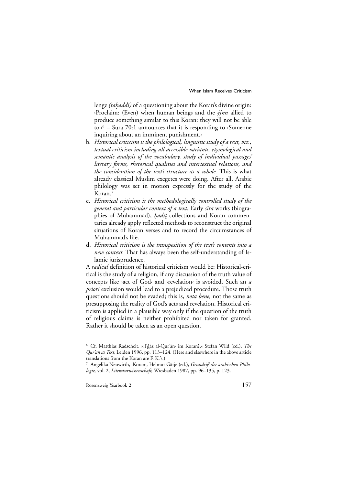lenge *(tahaddī)* of a questioning about the Koran's divine origin:<br>Proclaim: (Even) when human beings and the *dinn* allied to >Proclaim: (Even) when human beings and the *ğinn* allied to produce something similar to this Koran: they will not be able to! $\frac{1}{6}$  – Sura 70:1 announces that it is responding to >Someone inquiring about an imminent punishment.‹

- b. *Historical criticism is the philological, linguistic study of a text, viz., textual criticism including all accessible variants, etymological and semantic analysis of the vocabulary, study of individual passages' literary forms, rhetorical qualities and intertextual relations, and the consideration of the text's structure as a whole.* This is what already classical Muslim exegetes were doing. After all, Arabic philology was set in motion expressly for the study of the Koran.
- c. *Historical criticism is the methodologically controlled study of the general and particular context of a text.* Early *sīra* works (biographies of Muhammad), *hadīt* collections and Koran commen-<br>taries already apply reflected methods to reconstruct the original *˙* taries already apply reflected methods to reconstruct the original situations of Koran verses and to record the circumstances of Muhammad's life.
- d. *Historical criticism is the transposition of the text's contents into a new context.* That has always been the self-understanding of Islamic jurisprudence.

A *radical* definition of historical criticism would be: Historical-critical is the study of a religion, if any discussion of the truth value of concepts like ›act of God‹ and ›revelation‹ is avoided. Such an *a priori* exclusion would lead to a prejudiced procedure. Those truth questions should not be evaded; this is, *nota bene,* not the same as presupposing the reality of God's acts and revelation. Historical criticism is applied in a plausible way only if the question of the truth of religious claims is neither prohibited nor taken for granted. Rather it should be taken as an open question.

<sup>&</sup>lt;sup>6</sup> Cf. Matthias Radscheit, »›I'ğāz al-Qur'ān‹ im Koran?,« Stefan Wild (ed.), *The Qur'an as Text,* Leiden 1996, pp. 113–124. (Here and elsewhere in the above article translations from the Koran are F. K.'s.)

<sup>7</sup> Angelika Neuwirth, ›Koran‹, Helmut Gätje (ed.), *Grundriß der arabischen Philologie,* vol. 2, *Literaturwissenschaft,* Wiesbaden 1987, pp. 96–135, p. 123.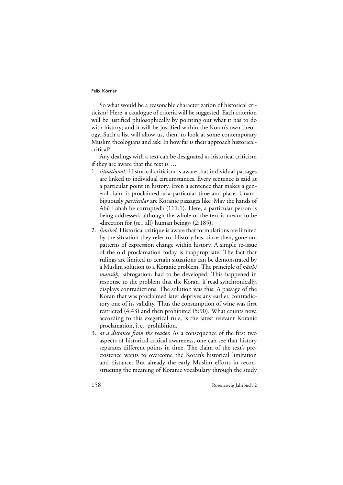So what would be a reasonable characterization of historical criticism? Here, a catalogue of criteria will be suggested. Each criterion will be justified philosophically by pointing out what it has to do with history; and it will be justified within the Koran's own theology. Such a list will allow us, then, to look at some contemporary Muslim theologians and ask: In how far is their approach historicalcritical?

Any dealings with a text can be designated as historical criticism if they are aware that the text is …

- 1. *situational.* Historical criticism is aware that individual passages are linked to individual circumstances. Every sentence is said at a particular point in history. Even a sentence that makes a general claim is proclaimed at a particular time and place. Unambiguously *particular* are Koranic passages like ›May the hands of Abū Lahab be corrupted! $(111:1)$ . Here, a particular person is being addressed, although the whole of the text is meant to be ›direction for (sc., all) human beings‹ (2:185).
- 2. *limited.* Historical critique is aware that formulations are limited by the situation they refer to. History has, since then, gone on; patterns of expression change within history. A simple re-issue of the old proclamation today is inappropriate. The fact that rulings are limited to certain situations can be demonstrated by a Muslim solution to a Koranic problem. The principle of *nāsih/*<br>*mansūh* vabrogations had to be developed. This happened in *mansuh*, >abrogation< had to be developed. This happened in *<u>THERE IS THE CONSERVERT CONSERVERT CONSERVANCE</u>* displays contradictions. The solution was this: A passage of the Koran that was proclaimed later deprives any earlier, contradictory one of its validity. Thus the consumption of wine was first restricted (4:43) and then prohibited (5:90). What counts now, according to this exegetical rule, is the latest relevant Koranic proclamation, i. e., prohibition.
- 3. *at a distance from the reader*. As a consequence of the first two aspects of historical-critical awareness, one can see that history separates different points in time. The claim of the text's preexistence wants to overcome the Koran's historical limitation and distance. But already the early Muslim efforts in reconstructing the meaning of Koranic vocabulary through the study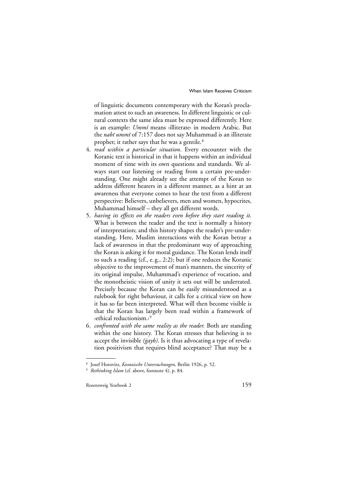of linguistic documents contemporary with the Koran's proclamation attest to such an awareness. In different linguistic or cultural contexts the same idea must be expressed differently. Here is an example: *Ummı¯* means ›illiterate‹ in modern Arabic. But the *nabī ummī* of 7:157 does not say Muhammad is an illiterate prophet; it rather says that he was a gentile.<sup>8</sup>

- 4. *read within a particular situation*. Every encounter with the Koranic text is historical in that it happens within an individual moment of time with its own questions and standards. We always start our listening or reading from a certain pre-understanding. One might already see the attempt of the Koran to address different hearers in a different manner, as a hint at an awareness that everyone comes to hear the text from a different perspective: Believers, unbelievers, men and women, hypocrites, Muhammad himself – they all get different words.
- 5. *having its effects on the readers even before they start reading it*. What is between the reader and the text is normally a history of interpretation; and this history shapes the reader's pre-understanding. Here, Muslim interactions with the Koran betray a lack of awareness in that the predominant way of approaching the Koran is asking it for moral guidance. The Koran lends itself to such a reading (cf., e. g., 2:2); but if one reduces the Koranic objective to the improvement of man's manners, the sincerity of its original impulse, Muhammad's experience of vocation, and the monotheistic vision of unity it sets out will be underrated. Precisely because the Koran can be easily misunderstood as a rulebook for right behaviour, it calls for a critical view on how it has so far been interpreted. What will then become visible is that the Koran has largely been read within a framework of ›ethical reductionism.‹9
- 6. *confronted with the same reality as the reader.* Both are standing within the one history. The Koran stresses that believing is to accept the invisible *(gayb)*. Is it thus advocating a type of revelation positivism that requires blind acceptance? That may be a

<sup>8</sup> Josef Horovitz, *Koranische Untersuchungen,* Berlin 1926, p. 52.

<sup>9</sup> *Rethinking Islam* (cf. above, footnote 4), p. 84.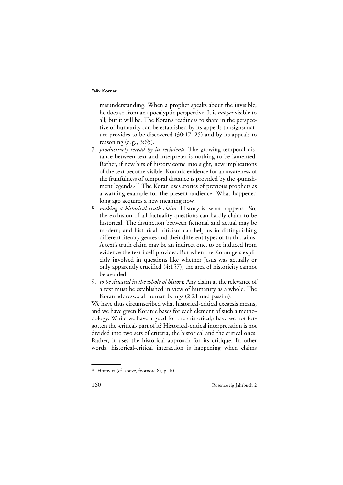misunderstanding. When a prophet speaks about the invisible, he does so from an apocalyptic perspective. It is *not yet* visible to all; but it will be. The Koran's readiness to share in the perspective of humanity can be established by its appeals to ›signs‹ nature provides to be discovered (30:17–25) and by its appeals to reasoning (e. g., 3:65).

- 7. *productively reread by its recipients.* The growing temporal distance between text and interpreter is nothing to be lamented. Rather, if new bits of history come into sight, new implications of the text become visible. Koranic evidence for an awareness of the fruitfulness of temporal distance is provided by the ›punishment legends.‹10 The Koran uses stories of previous prophets as a warning example for the present audience. What happened long ago acquires a new meaning now.
- 8. *making a historical truth claim.* History is ›what happens.‹ So, the exclusion of all factuality questions can hardly claim to be historical. The distinction between fictional and actual may be modern; and historical criticism can help us in distinguishing different literary genres and their different types of truth claims. A text's truth claim may be an indirect one, to be induced from evidence the text itself provides. But when the Koran gets explicitly involved in questions like whether Jesus was actually or only apparently crucified (4:157), the area of historicity cannot be avoided.
- 9. *to be situated in the whole of history.* Any claim at the relevance of a text must be established in view of humanity as a whole. The Koran addresses all human beings (2:21 und passim).

We have thus circumscribed what historical-critical exegesis means, and we have given Koranic bases for each element of such a methodology. While we have argued for the ›historical,‹ have we not forgotten the ›critical‹ part of it? Historical-critical interpretation is not divided into two sets of criteria, the historical and the critical ones. Rather, it uses the historical approach for its critique. In other words, historical-critical interaction is happening when claims

<sup>&</sup>lt;sup>10</sup> Horovitz (cf. above, footnote 8), p. 10.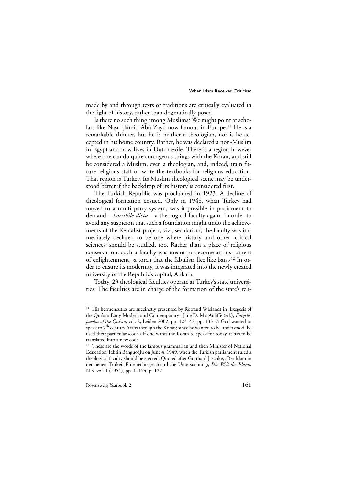made by and through texts or traditions are critically evaluated in the light of history, rather than dogmatically posed.

Is there no such thing among Muslims? We might point at scholars like Nasr Hāmid Abū Zayd now famous in Europe.<sup>11</sup> He is a<br>remarkable thinker, but he is neither a theologian, nor is he acremarkable thinker, but he is neither a theologian, nor is he accepted in his home country. Rather, he was declared a non-Muslim in Egypt and now lives in Dutch exile. There is a region however where one can do quite courageous things with the Koran, and still be considered a Muslim, even a theologian, and, indeed, train future religious staff or write the textbooks for religious education. That region is Turkey. Its Muslim theological scene may be understood better if the backdrop of its history is considered first.

The Turkish Republic was proclaimed in 1923. A decline of theological formation ensued. Only in 1948, when Turkey had moved to a multi party system, was it possible in parliament to demand – *horribile dictu –* a theological faculty again. In order to avoid any suspicion that such a foundation might undo the achievements of the Kemalist project, viz., secularism, the faculty was immediately declared to be one where history and other ›critical sciences‹ should be studied, too. Rather than a place of religious conservation, such a faculty was meant to become an instrument of enlightenment, ›a torch that the fabulists flee like bats.‹12 In order to ensure its modernity, it was integrated into the newly created university of the Republic's capital, Ankara.

Today, 23 theological faculties operate at Turkey's state universities. The faculties are in charge of the formation of the state's reli-

<sup>&</sup>lt;sup>11</sup> His hermeneutics are succinctly presented by Rotraud Wielandt in ›Exegesis of the Qur'an: Early Modern and Contemporary<sup>,</sup> Jane D. MacAuliffe (ed.), *Encyclopaedia of the Qur'ān*, vol. 2, Leiden 2002, pp. 123–42, pp. 135–7: God wanted to speak to 7<sup>th</sup> century Arabs through the Koran; since he wanted to be understood, he used their particular ›code.‹ If one wants the Koran to speak for today, it has to be translated into a new code.

<sup>&</sup>lt;sup>12</sup> These are the words of the famous grammarian and then Minister of National Education Tahsin Banguoğlu on June 4, 1949, when the Turkish parliament ruled a theological faculty should be erected. Quoted after Gotthard Jäschke, ›Der Islam in der neuen Türkei. Eine rechtsgeschichtliche Untersuchung‹, *Die Welt des Islams,* N.S. vol. 1 (1951), pp. 1–174, p. 127.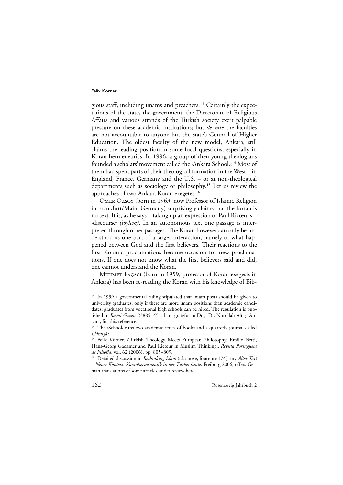gious staff, including imams and preachers.13 Certainly the expectations of the state, the government, the Directorate of Religious Affairs and various strands of the Turkish society exert palpable pressure on these academic institutions; but *de iure* the faculties are not accountable to anyone but the state's Council of Higher Education. The oldest faculty of the new model, Ankara, still claims the leading position in some focal questions, especially in Koran hermeneutics. In 1996, a group of then young theologians founded a scholars' movement called the ›Ankara School.‹14 Most of them had spent parts of their theological formation in the West – in England, France, Germany and the U.S. – or at non-theological departments such as sociology or philosophy.15 Let us review the approaches of two Ankara Koran exegetes.16

Ömer Özsoy (born in 1963, now Professor of Islamic Religion in Frankfurt/Main, Germany) surprisingly claims that the Koran is no text. It is, as he says – taking up an expression of Paul Ricœur's – ›discourse‹ *(söylem)*. In an autonomous text one passage is interpreted through other passages. The Koran however can only be understood as one part of a larger interaction, namely of what happened between God and the first believers. Their reactions to the first Koranic proclamations became occasion for new proclamations. If one does not know what the first believers said and did, one cannot understand the Koran.

Mehmet Paçaci (born in 1959, professor of Koran exegesis in Ankara) has been re-reading the Koran with his knowledge of Bib-

<sup>&</sup>lt;sup>13</sup> In 1999 a governmental ruling stipulated that imam posts should be given to university graduates; only if there are more imam positions than academic candidates, graduates from vocational high schools can be hired. The regulation is published in *Resmi Gazete* 23885, 45a. I am grateful to Doç. Dr. Nurullah Altas, Ankara, for this reference.

<sup>14</sup> The >School< runs two academic series of books and a quarterly journal called *I ˙slâmiyât.*

<sup>&</sup>lt;sup>15</sup> Felix Körner, >Turkish Theology Meets European Philosophy. Emilio Betti, Hans-Georg Gadamer and Paul Ricœur in Muslim Thinking‹, *Revista Portuguesa de Filsofia*, vol. 62 (2006), pp. 805–809.

<sup>16</sup> Detailed discussion in *Rethinking Islam* (cf. above, footnote 174); my *Alter Text – Neuer Kontext. Koranhermeneutik in der Türkei heute,* Freiburg 2006, offers German translations of some articles under review here.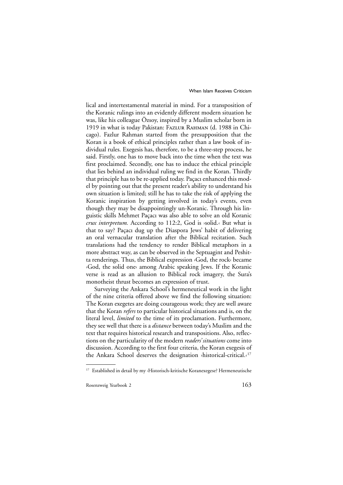lical and intertestamental material in mind. For a transposition of the Koranic rulings into an evidently different modern situation he was, like his colleague Özsoy, inspired by a Muslim scholar born in 1919 in what is today Pakistan: Fazlur Rahman (d. 1988 in Chicago). Fazlur Rahman started from the presupposition that the Koran is a book of ethical principles rather than a law book of individual rules. Exegesis has, therefore, to be a three-step process, he said. Firstly, one has to move back into the time when the text was first proclaimed. Secondly, one has to induce the ethical principle that lies behind an individual ruling we find in the Koran. Thirdly that principle has to be re-applied today. Paçacı enhanced this model by pointing out that the present reader's ability to understand his own situation is limited; still he has to take the risk of applying the Koranic inspiration by getting involved in today's events, even though they may be disappointingly un-Koranic. Through his linguistic skills Mehmet Paçacı was also able to solve an old Koranic *crux interpretum.* According to 112:2, God is ›solid.‹ But what is that to say? Paçacı dug up the Diaspora Jews' habit of delivering an oral vernacular translation after the Biblical recitation. Such translations had the tendency to render Biblical metaphors in a more abstract way, as can be observed in the Septuagint and Peshitta renderings. Thus, the Biblical expression ›God, the rock‹ became ›God, the solid one‹ among Arabic speaking Jews. If the Koranic verse is read as an allusion to Biblical rock imagery, the Sura's monotheist thrust becomes an expression of trust.

Surveying the Ankara School's hermeneutical work in the light of the nine criteria offered above we find the following situation: The Koran exegetes are doing courageous work; they are well aware that the Koran *refers* to particular historical situations and is, on the literal level, *limited* to the time of its proclamation. Furthermore, they see well that there is a *distance* between today's Muslim and the text that requires historical research and transpositions. Also, reflections on the particularity of the modern *readers' situations* come into discussion. According to the first four criteria, the Koran exegesis of the Ankara School deserves the designation ›historical-critical.‹17

<sup>17</sup> Established in detail by my ›Historisch-kritische Koranexegese? Hermeneutische

Rosenzweig Yearbook 2 163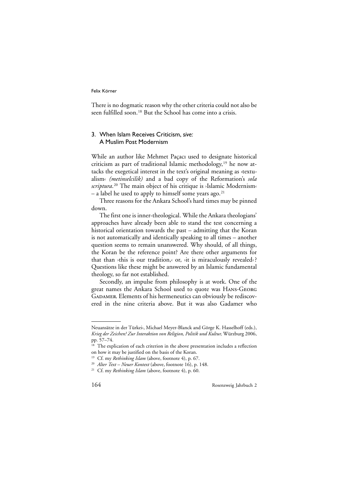There is no dogmatic reason why the other criteria could not also be seen fulfilled soon.<sup>18</sup> But the School has come into a crisis.

## 3. When Islam Receives Criticism, *sive:* A Muslim Post Modernism

While an author like Mehmet Paçacı used to designate historical criticism as part of traditional Islamic methodology,<sup>19</sup> he now attacks the exegetical interest in the text's original meaning as ›textualism‹ *(metinselcilik)* and a bad copy of the Reformation's *sola scriptura*. <sup>20</sup> The main object of his critique is ›Islamic Modernism‹  $-$  a label he used to apply to himself some years ago.<sup>21</sup>

Three reasons for the Ankara School's hard times may be pinned down.

The first one is inner-theological. While the Ankara theologians' approaches have already been able to stand the test concerning a historical orientation towards the past – admitting that the Koran is not automatically and identically speaking to all times – another question seems to remain unanswered. Why should, of all things, the Koran be the reference point? Are there other arguments for that than *i*this is our tradition, or, *it* is miraculously revealed.? Questions like these might be answered by an Islamic fundamental theology, so far not established.

Secondly, an impulse from philosophy is at work. One of the great names the Ankara School used to quote was Hans-Georg GADAMER. Elements of his hermeneutics can obviously be rediscovered in the nine criteria above. But it was also Gadamer who

Neuansätze in der Türkei‹, Michael Meyer-Blanck and Görge K. Hasselhoff (eds.), *Krieg der Zeichen? Zur Interaktion von Religion, Politik und Kultur,* Würzburg 2006, pp. 57–74.

 $18$  The explication of each criterion in the above presentation includes a reflection on how it may be justified on the basis of the Koran.

<sup>19</sup> Cf. my *Rethinking Islam* (above, footnote 4), p. 67.

<sup>20</sup> *Alter Text – Neuer Kontext* (above, footnote 16), p. 148.

<sup>21</sup> Cf. my *Rethinking Islam* (above, footnote 4), p. 60.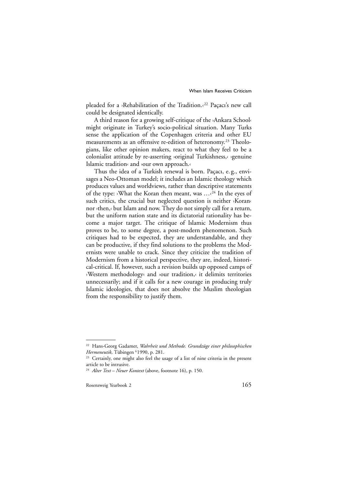pleaded for a ›Rehabilitation of the Tradition.‹22 Paçacı's new call could be designated identically.

A third reason for a growing self-critique of the ›Ankara School‹ might originate in Turkey's socio-political situation. Many Turks sense the application of the Copenhagen criteria and other EU measurements as an offensive re-edition of heteronomy.<sup>23</sup> Theologians, like other opinion makers, react to what they feel to be a colonialist attitude by re-asserting ›original Turkishness,‹ ›genuine Islamic tradition‹ and ›our own approach.‹

Thus the idea of a Turkish renewal is born. Paçacı, e. g., envisages a Neo-Ottoman model; it includes an Islamic theology which produces values and worldviews, rather than descriptive statements of the type: ›What the Koran then meant, was …‹24 In the eyes of such critics, the crucial but neglected question is neither ›Koran‹ nor ›then,‹ but Islam and now. They do not simply call for a return, but the uniform nation state and its dictatorial rationality has become a major target. The critique of Islamic Modernism thus proves to be, to some degree, a post-modern phenomenon. Such critiques had to be expected, they are understandable, and they can be productive, if they find solutions to the problems the Modernists were unable to crack. Since they criticize the tradition of Modernism from a historical perspective, they are, indeed, historical-critical. If, however, such a revision builds up opposed camps of ›Western methodology‹ and ›our tradition,‹ it delimits territories unnecessarily; and if it calls for a new courage in producing truly Islamic ideologies, that does not absolve the Muslim theologian from the responsibility to justify them.

<sup>22</sup> Hans-Georg Gadamer, *Wahrheit und Methode. Grundzüge einer philosophischen Hermeneutik,* Tübingen 61990, p. 281.

<sup>&</sup>lt;sup>23</sup> Certainly, one might also feel the usage of a list of nine criteria in the present article to be intrusive.

<sup>24</sup> *Alter Text – Neuer Kontext* (above, footnote 16), p. 150.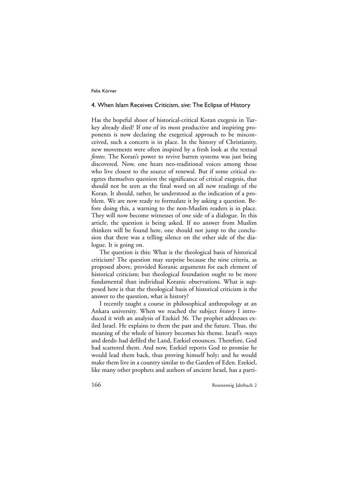## 4. When Islam Receives Criticism, *sive:* The Eclipse of History

Has the hopeful shoot of historical-critical Koran exegesis in Turkey already died? If one of its most productive and inspiring proponents is now declaring the exegetical approach to be misconceived, such a concern is in place. In the history of Christianity, new movements were often inspired by a fresh look at the textual *fontes*. The Koran's power to revive barren systems was just being discovered. Now, one hears neo-traditional voices among those who live closest to the source of renewal. But if some critical exegetes themselves question the significance of critical exegesis, that should not be seen as the final word on all new readings of the Koran. It should, rather, be understood as the indication of a problem. We are now ready to formulate it by asking a question. Before doing this, a warning to the non-Muslim readers is in place. They will now become witnesses of one side of a dialogue. In this article, the question is being asked. If no answer from Muslim thinkers will be found here, one should not jump to the conclusion that there was a telling silence on the other side of the dialogue. It is going on.

The question is this: What is the theological basis of historical criticism? The question may surprise because the nine criteria, as proposed above, provided Koranic arguments for each element of historical criticism; but theological foundation ought to be more fundamental than individual Koranic observations. What is supposed here is that the theological basis of historical criticism is the answer to the question, what is history?

I recently taught a course in philosophical anthropology at an Ankara university. When we reached the subject *history* I introduced it with an analysis of Ezekiel 36. The prophet addresses exiled Israel. He explains to them the past and the future. Thus, the meaning of the whole of history becomes his theme. Israel's ›ways and deeds‹ had defiled the Land, Ezekiel enounces. Therefore, God had scattered them. And now, Ezekiel reports God to promise he would lead them back, thus proving himself holy; and he would make them live in a country similar to the Garden of Eden. Ezekiel, like many other prophets and authors of ancient Israel, has a parti-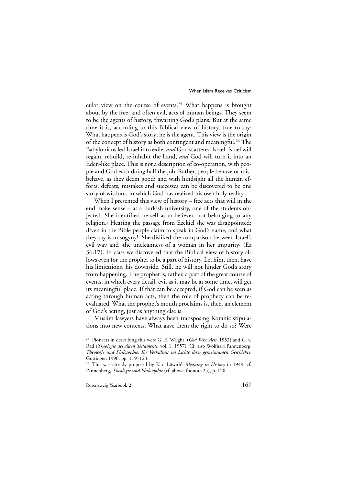cular view on the course of events.25 What happens is brought about by the free, and often evil, acts of human beings. They seem to be the agents of history, thwarting God's plans. But at the same time it is, according to this Biblical view of history, true to say: What happens is God's story; he is the agent. This view is the origin of the concept of history as both contingent and meaningful.26 The Babylonians led Israel into exile, *and* God scattered Israel. Israel will regain, rebuild, re-inhabit the Land, *and* God will turn it into an Eden-like place. This is not a description of co-operation, with people and God each doing half the job. Rather, people behave or misbehave, as they deem good; and with hindsight all the human efforts, defeats, mistakes and successes can be discovered to be one story of wisdom, in which God has realized his own holy reality.

When I presented this view of history – free acts that will in the end make sense – at a Turkish university, one of the students objected. She identified herself as ›a believer, not belonging to any religion.‹ Hearing the passage from Ezekiel she was disappointed: ›Even in the Bible people claim to speak in God's name, and what they say is misogyny!‹ She disliked the comparison between Israel's evil way and ›the uncleanness of a woman in her impurity‹ (Ez 36:17). In class we discovered that the Biblical view of history allows even for the prophet to be a part of history. Let him, then, have his limitations, his downside. Still, he will not hinder God's story from happening. The prophet is, rather, a part of the great course of events, in which every detail, evil as it may be at some time, will get its meaningful place. If that can be accepted, if God can be seen as acting through human acts, then the role of prophecy can be reevaluated. What the prophet's mouth proclaims is, then, an element of God's acting, just as anything else is.

Muslim lawyers have always been transposing Koranic stipulations into new contexts. What gave them the right to do so? Were

<sup>25</sup> Pioneers in describing this were G. E. Wright, (*God Who Acts,* 1952) and G. v. Rad (*Theologie des Alten Testaments,* vol. 1, 1957). Cf. also Wolfhart Pannenberg, *Theologie und Philosophie. Ihr Verhältnis im Lichte ihrer gemeinsamen Geschichte,* Göttingen 1996, pp. 119–123.

<sup>26</sup> This was already proposed by Karl Löwith's *Meaning in History* in 1949; cf. Pannenberg, *Theologie und Philosophie* (cf. above, foonote 25), p. 120.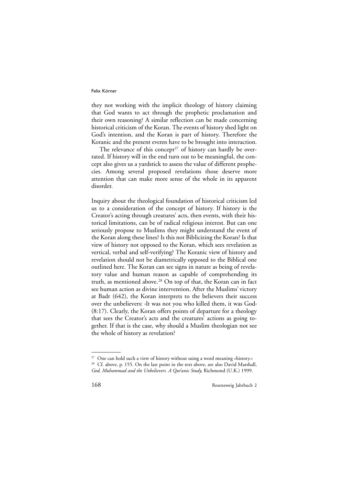they not working with the implicit theology of history claiming that God wants to act through the prophetic proclamation and their own reasoning? A similar reflection can be made concerning historical criticism of the Koran. The events of history shed light on God's intention, and the Koran is part of history. Therefore the Koranic and the present events have to be brought into interaction.

The relevance of this concept<sup>27</sup> of history can hardly be overrated. If history will in the end turn out to be meaningful, the concept also gives us a yardstick to assess the value of different prophecies. Among several proposed revelations those deserve more attention that can make more sense of the whole in its apparent disorder.

Inquiry about the theological foundation of historical criticism led us to a consideration of the concept of history. If history is the Creator's acting through creatures' acts, then events, with their historical limitations, can be of radical religious interest. But can one seriously propose to Muslims they might understand the event of the Koran along these lines? Is this not Biblicizing the Koran? Is that view of history not opposed to the Koran, which sees revelation as vertical, verbal and self-verifying? The Koranic view of history and revelation should not be diametrically opposed to the Biblical one outlined here. The Koran can see signs in nature as being of revelatory value and human reason as capable of comprehending its truth, as mentioned above.28 On top of that, the Koran can in fact see human action as divine intervention. After the Muslims' victory at Badr (642), the Koran interprets to the believers their success over the unbelievers: ›It was not you who killed them, it was God‹ (8:17). Clearly, the Koran offers points of departure for a theology that sees the Creator's acts and the creatures' actions as going together. If that is the case, why should a Muslim theologian not see the whole of history as revelation?

<sup>27</sup> One can hold such a view of history without using a word meaning »history.« <sup>28</sup> Cf. above, p. 155. On the last point in the text above, see also David Marshall, God, Muhammad and the Unbelievers. A Qur'anic Study, Richmond (U.K.) 1999.